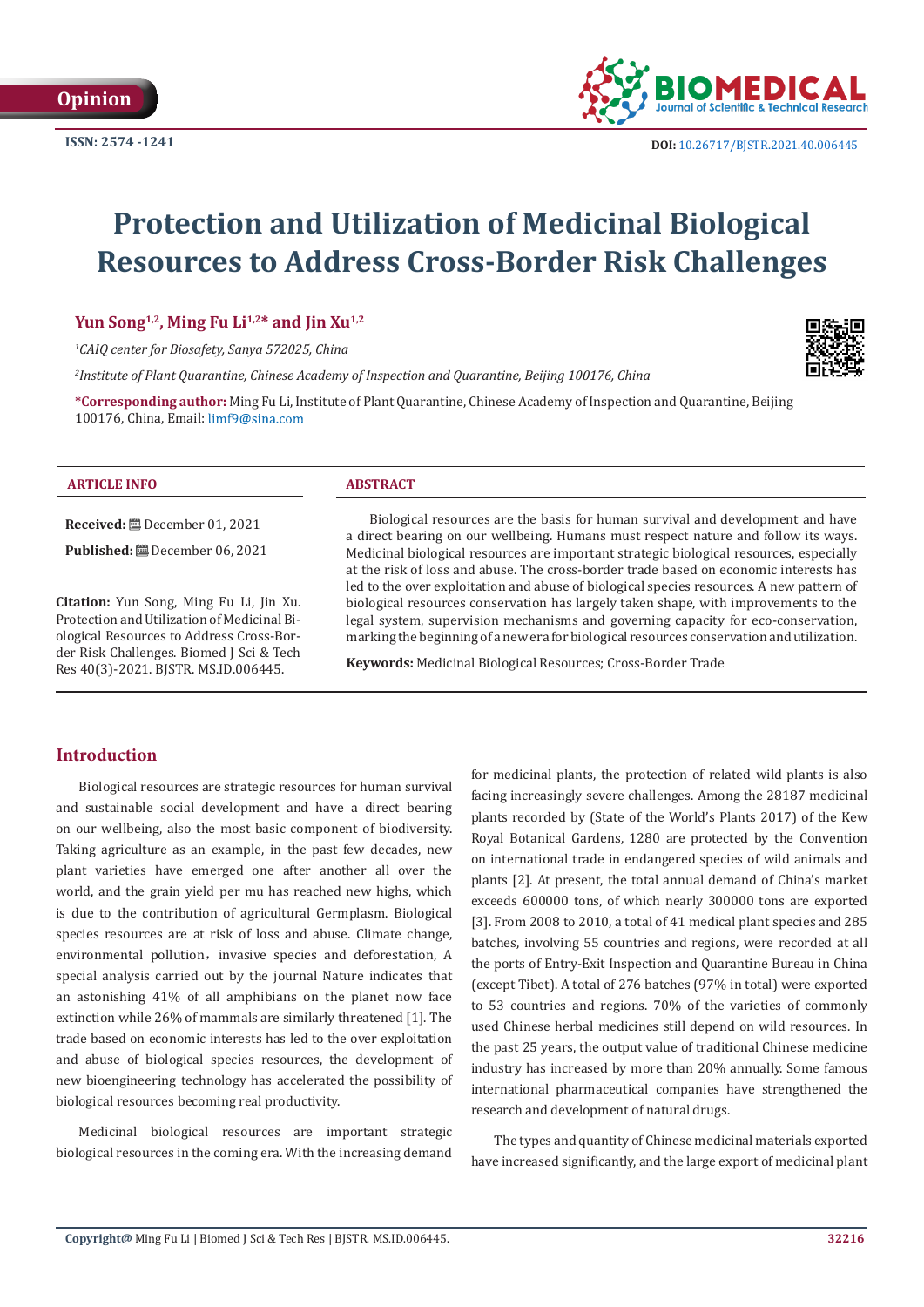

# **Protection and Utilization of Medicinal Biological Resources to Address Cross-Border Risk Challenges**

Yun Song<sup>1,2</sup>, Ming Fu Li<sup>1,2\*</sup> and Jin Xu<sup>1,2</sup>

*1 CAIQ center for Biosafety, Sanya 572025, China*

*2 Institute of Plant Quarantine, Chinese Academy of Inspection and Quarantine, Beijing 100176, China*

**\*Corresponding author:** Ming Fu Li, Institute of Plant Quarantine, Chinese Academy of Inspection and Quarantine, Beijing 100176, China, Email: limf9@sina.com

#### **ARTICLE INFO ABSTRACT**

**Received:** December 01, 2021

**Published:** December 06, 2021

**Citation:** Yun Song, Ming Fu Li, Jin Xu. Protection and Utilization of Medicinal Biological Resources to Address Cross-Border Risk Challenges. Biomed J Sci & Tech Res 40(3)-2021. BJSTR. MS.ID.006445.

Biological resources are the basis for human survival and development and have a direct bearing on our wellbeing. Humans must respect nature and follow its ways. Medicinal biological resources are important strategic biological resources, especially at the risk of loss and abuse. The cross-border trade based on economic interests has led to the over exploitation and abuse of biological species resources. A new pattern of biological resources conservation has largely taken shape, with improvements to the legal system, supervision mechanisms and governing capacity for eco-conservation, marking the beginning of a new era for biological resources conservation and utilization.

**Keywords:** Medicinal Biological Resources; Cross-Border Trade

# **Introduction**

Biological resources are strategic resources for human survival and sustainable social development and have a direct bearing on our wellbeing, also the most basic component of biodiversity. Taking agriculture as an example, in the past few decades, new plant varieties have emerged one after another all over the world, and the grain yield per mu has reached new highs, which is due to the contribution of agricultural Germplasm. Biological species resources are at risk of loss and abuse. Climate change, environmental pollution, invasive species and deforestation. A special analysis carried out by the journal Nature indicates that an astonishing 41% of all amphibians on the planet now face extinction while 26% of mammals are similarly threatened [1]. The trade based on economic interests has led to the over exploitation and abuse of biological species resources, the development of new bioengineering technology has accelerated the possibility of biological resources becoming real productivity.

Medicinal biological resources are important strategic biological resources in the coming era. With the increasing demand for medicinal plants, the protection of related wild plants is also facing increasingly severe challenges. Among the 28187 medicinal plants recorded by (State of the World's Plants 2017) of the Kew Royal Botanical Gardens, 1280 are protected by the Convention on international trade in endangered species of wild animals and plants [2]. At present, the total annual demand of China's market exceeds 600000 tons, of which nearly 300000 tons are exported [3]. From 2008 to 2010, a total of 41 medical plant species and 285 batches, involving 55 countries and regions, were recorded at all the ports of Entry-Exit Inspection and Quarantine Bureau in China (except Tibet). A total of 276 batches (97% in total) were exported to 53 countries and regions. 70% of the varieties of commonly used Chinese herbal medicines still depend on wild resources. In the past 25 years, the output value of traditional Chinese medicine industry has increased by more than 20% annually. Some famous international pharmaceutical companies have strengthened the research and development of natural drugs.

The types and quantity of Chinese medicinal materials exported have increased significantly, and the large export of medicinal plant